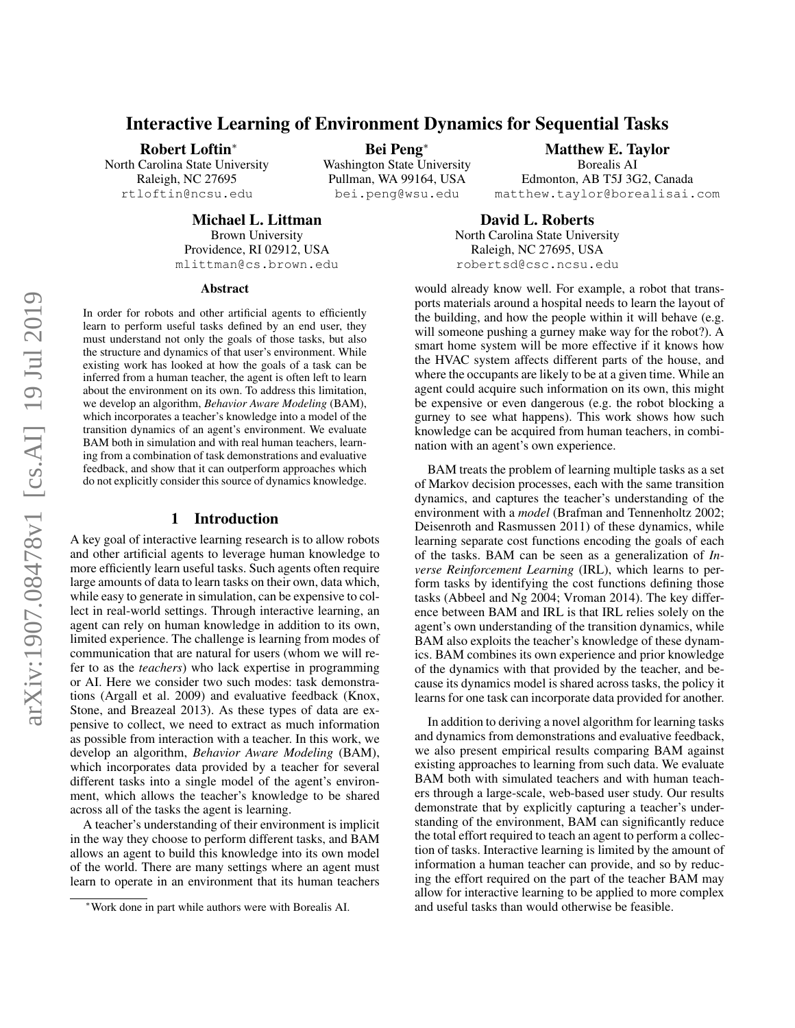# Interactive Learning of Environment Dynamics for Sequential Tasks

Robert Loftin<sup>∗</sup>

North Carolina State University Raleigh, NC 27695 rtloftin@ncsu.edu

Bei Peng<sup>∗</sup> Washington State University Pullman, WA 99164, USA

bei.peng@wsu.edu

Borealis AI Edmonton, AB T5J 3G2, Canada matthew.taylor@borealisai.com

Michael L. Littman

Brown University Providence, RI 02912, USA mlittman@cs.brown.edu

#### **Abstract**

In order for robots and other artificial agents to efficiently learn to perform useful tasks defined by an end user, they must understand not only the goals of those tasks, but also the structure and dynamics of that user's environment. While existing work has looked at how the goals of a task can be inferred from a human teacher, the agent is often left to learn about the environment on its own. To address this limitation, we develop an algorithm, *Behavior Aware Modeling* (BAM), which incorporates a teacher's knowledge into a model of the transition dynamics of an agent's environment. We evaluate BAM both in simulation and with real human teachers, learning from a combination of task demonstrations and evaluative feedback, and show that it can outperform approaches which do not explicitly consider this source of dynamics knowledge.

#### 1 Introduction

A key goal of interactive learning research is to allow robots and other artificial agents to leverage human knowledge to more efficiently learn useful tasks. Such agents often require large amounts of data to learn tasks on their own, data which, while easy to generate in simulation, can be expensive to collect in real-world settings. Through interactive learning, an agent can rely on human knowledge in addition to its own, limited experience. The challenge is learning from modes of communication that are natural for users (whom we will refer to as the *teachers*) who lack expertise in programming or AI. Here we consider two such modes: task demonstrations (Argall et al. 2009) and evaluative feedback (Knox, Stone, and Breazeal 2013). As these types of data are expensive to collect, we need to extract as much information as possible from interaction with a teacher. In this work, we develop an algorithm, *Behavior Aware Modeling* (BAM), which incorporates data provided by a teacher for several different tasks into a single model of the agent's environment, which allows the teacher's knowledge to be shared across all of the tasks the agent is learning.

A teacher's understanding of their environment is implicit in the way they choose to perform different tasks, and BAM allows an agent to build this knowledge into its own model of the world. There are many settings where an agent must learn to operate in an environment that its human teachers

David L. Roberts North Carolina State University Raleigh, NC 27695, USA robertsd@csc.ncsu.edu

would already know well. For example, a robot that transports materials around a hospital needs to learn the layout of the building, and how the people within it will behave (e.g. will someone pushing a gurney make way for the robot?). A smart home system will be more effective if it knows how the HVAC system affects different parts of the house, and where the occupants are likely to be at a given time. While an agent could acquire such information on its own, this might be expensive or even dangerous (e.g. the robot blocking a gurney to see what happens). This work shows how such knowledge can be acquired from human teachers, in combination with an agent's own experience.

BAM treats the problem of learning multiple tasks as a set of Markov decision processes, each with the same transition dynamics, and captures the teacher's understanding of the environment with a *model* (Brafman and Tennenholtz 2002; Deisenroth and Rasmussen 2011) of these dynamics, while learning separate cost functions encoding the goals of each of the tasks. BAM can be seen as a generalization of *Inverse Reinforcement Learning* (IRL), which learns to perform tasks by identifying the cost functions defining those tasks (Abbeel and Ng 2004; Vroman 2014). The key difference between BAM and IRL is that IRL relies solely on the agent's own understanding of the transition dynamics, while BAM also exploits the teacher's knowledge of these dynamics. BAM combines its own experience and prior knowledge of the dynamics with that provided by the teacher, and because its dynamics model is shared across tasks, the policy it learns for one task can incorporate data provided for another.

In addition to deriving a novel algorithm for learning tasks and dynamics from demonstrations and evaluative feedback, we also present empirical results comparing BAM against existing approaches to learning from such data. We evaluate BAM both with simulated teachers and with human teachers through a large-scale, web-based user study. Our results demonstrate that by explicitly capturing a teacher's understanding of the environment, BAM can significantly reduce the total effort required to teach an agent to perform a collection of tasks. Interactive learning is limited by the amount of information a human teacher can provide, and so by reducing the effort required on the part of the teacher BAM may allow for interactive learning to be applied to more complex and useful tasks than would otherwise be feasible.

Matthew E. Taylor

<sup>∗</sup>Work done in part while authors were with Borealis AI.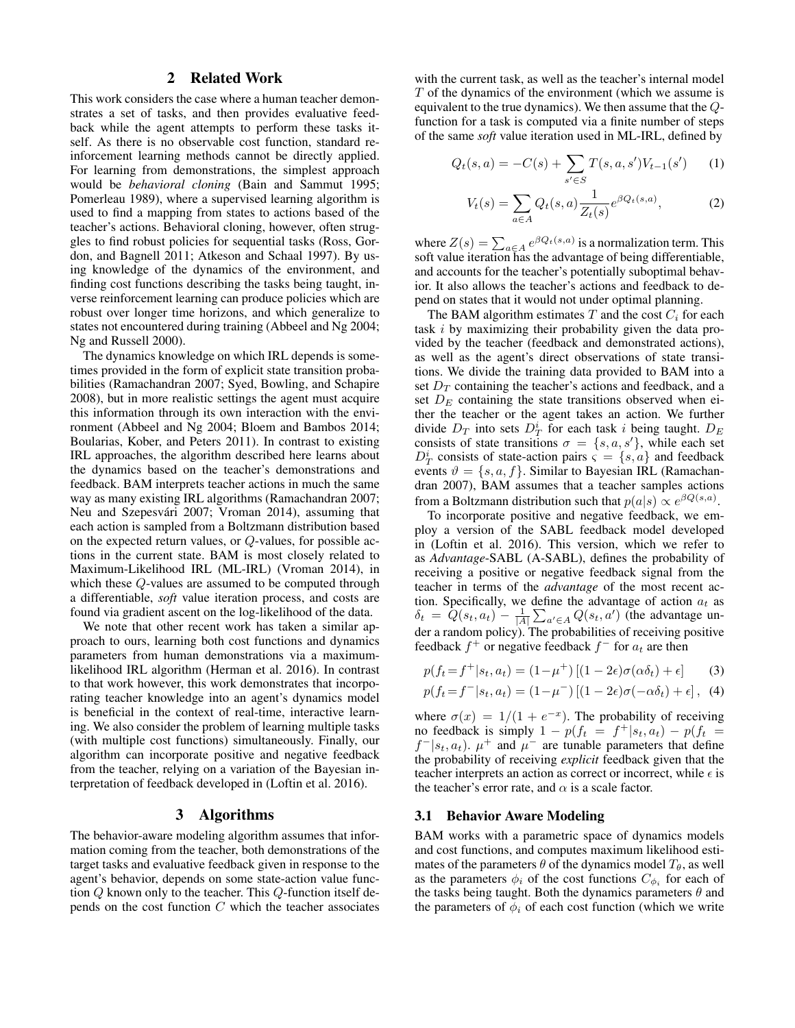## 2 Related Work

This work considers the case where a human teacher demonstrates a set of tasks, and then provides evaluative feedback while the agent attempts to perform these tasks itself. As there is no observable cost function, standard reinforcement learning methods cannot be directly applied. For learning from demonstrations, the simplest approach would be *behavioral cloning* (Bain and Sammut 1995; Pomerleau 1989), where a supervised learning algorithm is used to find a mapping from states to actions based of the teacher's actions. Behavioral cloning, however, often struggles to find robust policies for sequential tasks (Ross, Gordon, and Bagnell 2011; Atkeson and Schaal 1997). By using knowledge of the dynamics of the environment, and finding cost functions describing the tasks being taught, inverse reinforcement learning can produce policies which are robust over longer time horizons, and which generalize to states not encountered during training (Abbeel and Ng 2004; Ng and Russell 2000).

The dynamics knowledge on which IRL depends is sometimes provided in the form of explicit state transition probabilities (Ramachandran 2007; Syed, Bowling, and Schapire 2008), but in more realistic settings the agent must acquire this information through its own interaction with the environment (Abbeel and Ng 2004; Bloem and Bambos 2014; Boularias, Kober, and Peters 2011). In contrast to existing IRL approaches, the algorithm described here learns about the dynamics based on the teacher's demonstrations and feedback. BAM interprets teacher actions in much the same way as many existing IRL algorithms (Ramachandran 2007; Neu and Szepesvári 2007; Vroman 2014), assuming that each action is sampled from a Boltzmann distribution based on the expected return values, or Q-values, for possible actions in the current state. BAM is most closely related to Maximum-Likelihood IRL (ML-IRL) (Vroman 2014), in which these Q-values are assumed to be computed through a differentiable, *soft* value iteration process, and costs are found via gradient ascent on the log-likelihood of the data.

We note that other recent work has taken a similar approach to ours, learning both cost functions and dynamics parameters from human demonstrations via a maximumlikelihood IRL algorithm (Herman et al. 2016). In contrast to that work however, this work demonstrates that incorporating teacher knowledge into an agent's dynamics model is beneficial in the context of real-time, interactive learning. We also consider the problem of learning multiple tasks (with multiple cost functions) simultaneously. Finally, our algorithm can incorporate positive and negative feedback from the teacher, relying on a variation of the Bayesian interpretation of feedback developed in (Loftin et al. 2016).

### 3 Algorithms

The behavior-aware modeling algorithm assumes that information coming from the teacher, both demonstrations of the target tasks and evaluative feedback given in response to the agent's behavior, depends on some state-action value function Q known only to the teacher. This Q-function itself depends on the cost function  $C$  which the teacher associates

with the current task, as well as the teacher's internal model T of the dynamics of the environment (which we assume is equivalent to the true dynamics). We then assume that the Qfunction for a task is computed via a finite number of steps of the same *soft* value iteration used in ML-IRL, defined by

$$
Q_t(s, a) = -C(s) + \sum_{s' \in S} T(s, a, s')V_{t-1}(s')
$$
 (1)

$$
V_t(s) = \sum_{a \in A} Q_t(s, a) \frac{1}{Z_t(s)} e^{\beta Q_t(s, a)},
$$
 (2)

where  $Z(s) = \sum_{a \in A} e^{\beta Q_t(s,a)}$  is a normalization term. This soft value iteration has the advantage of being differentiable, and accounts for the teacher's potentially suboptimal behavior. It also allows the teacher's actions and feedback to depend on states that it would not under optimal planning.

The BAM algorithm estimates T and the cost  $C_i$  for each task i by maximizing their probability given the data provided by the teacher (feedback and demonstrated actions), as well as the agent's direct observations of state transitions. We divide the training data provided to BAM into a set  $D_T$  containing the teacher's actions and feedback, and a set  $D<sub>E</sub>$  containing the state transitions observed when either the teacher or the agent takes an action. We further divide  $D_T$  into sets  $D_T^i$  for each task i being taught.  $D_E$ consists of state transitions  $\sigma = \{s, a, s'\}$ , while each set  $D_T^i$  consists of state-action pairs  $\varsigma = \{s, a\}$  and feedback events  $\vartheta = \{s, a, f\}$ . Similar to Bayesian IRL (Ramachandran 2007), BAM assumes that a teacher samples actions from a Boltzmann distribution such that  $p(a|s) \propto e^{\beta Q(s,a)}$ .

To incorporate positive and negative feedback, we employ a version of the SABL feedback model developed in (Loftin et al. 2016). This version, which we refer to as *Advantage*-SABL (A-SABL), defines the probability of receiving a positive or negative feedback signal from the teacher in terms of the *advantage* of the most recent action. Specifically, we define the advantage of action  $a_t$  as  $\delta_t = \hat{Q}(s_t, a_t) - \frac{1}{|A|} \sum_{a' \in A} Q(s_t, a')$  (the advantage under a random policy). The probabilities of receiving positive feedback  $f^+$  or negative feedback  $f^-$  for  $a_t$  are then

$$
p(f_t = f^+|s_t, a_t) = (1 - \mu^+) [(1 - 2\epsilon)\sigma(\alpha \delta_t) + \epsilon]
$$
 (3)

$$
p(f_t = f^- | s_t, a_t) = (1 - \mu^-) [(1 - 2\epsilon)\sigma(-\alpha\delta_t) + \epsilon], (4)
$$

where  $\sigma(x) = 1/(1 + e^{-x})$ . The probability of receiving no feedback is simply  $1 - p(f_t) = f^+|s_t, a_t) - p(f_t) =$  $f^{-}|s_t, a_t$ ).  $\mu^{+}$  and  $\mu^{-}$  are tunable parameters that define the probability of receiving *explicit* feedback given that the teacher interprets an action as correct or incorrect, while  $\epsilon$  is the teacher's error rate, and  $\alpha$  is a scale factor.

#### 3.1 Behavior Aware Modeling

BAM works with a parametric space of dynamics models and cost functions, and computes maximum likelihood estimates of the parameters  $\theta$  of the dynamics model  $T_{\theta}$ , as well as the parameters  $\phi_i$  of the cost functions  $C_{\phi_i}$  for each of the tasks being taught. Both the dynamics parameters  $\theta$  and the parameters of  $\phi_i$  of each cost function (which we write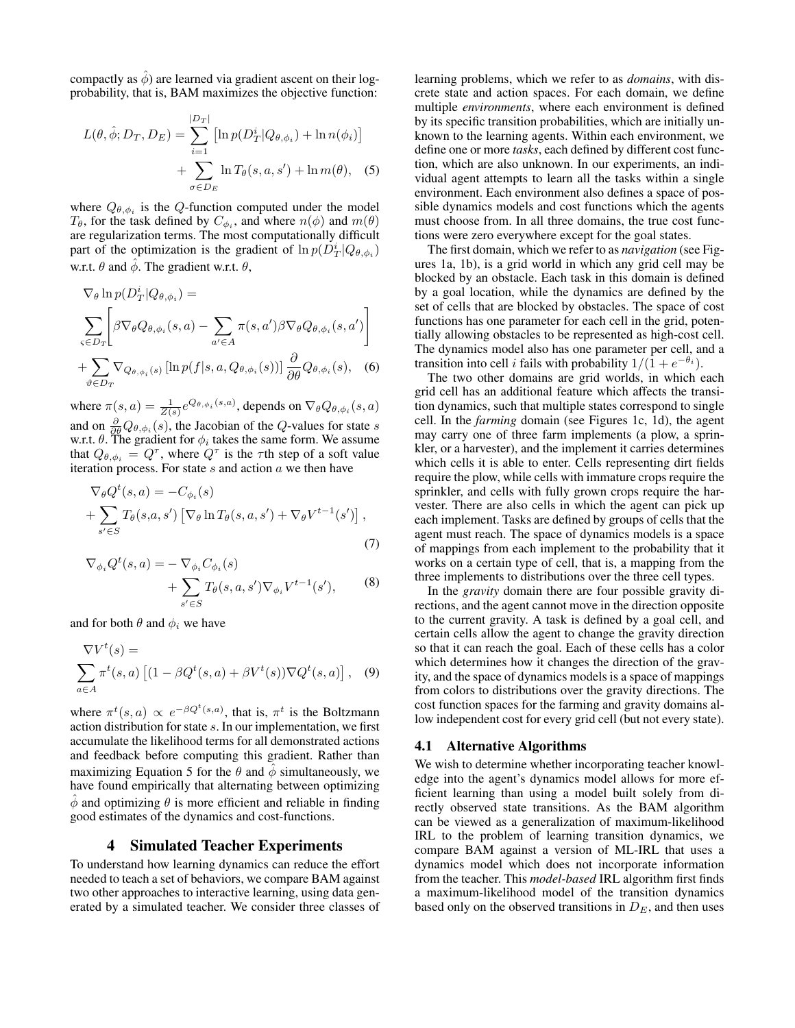compactly as  $\hat{\phi}$ ) are learned via gradient ascent on their logprobability, that is, BAM maximizes the objective function:

$$
L(\theta, \hat{\phi}; D_T, D_E) = \sum_{i=1}^{|D_T|} \left[ \ln p(D_T^i | Q_{\theta, \phi_i}) + \ln n(\phi_i) \right]
$$

$$
+ \sum_{\sigma \in D_E} \ln T_{\theta}(s, a, s') + \ln m(\theta), \quad (5)
$$

where  $Q_{\theta, \phi_i}$  is the Q-function computed under the model  $T_{\theta}$ , for the task defined by  $C_{\phi_i}$ , and where  $n(\phi)$  and  $m(\theta)$ are regularization terms. The most computationally difficult part of the optimization is the gradient of  $\ln p(D_T^i|Q_{\theta,\phi_i})$ w.r.t.  $\theta$  and  $\phi$ . The gradient w.r.t.  $\theta$ ,

$$
\nabla_{\theta} \ln p(D_T^i | Q_{\theta, \phi_i}) =
$$
\n
$$
\sum_{\varsigma \in D_T} \left[ \beta \nabla_{\theta} Q_{\theta, \phi_i}(s, a) - \sum_{a' \in A} \pi(s, a') \beta \nabla_{\theta} Q_{\theta, \phi_i}(s, a') \right]
$$
\n
$$
+ \sum_{\vartheta \in D_T} \nabla_{Q_{\theta, \phi_i}(s)} \left[ \ln p(f|s, a, Q_{\theta, \phi_i}(s)) \right] \frac{\partial}{\partial \theta} Q_{\theta, \phi_i}(s), \quad (6)
$$

where  $\pi(s, a) = \frac{1}{Z(s)} e^{Q_{\theta, \phi_i}(s, a)}$ , depends on  $\nabla_{\theta} Q_{\theta, \phi_i}(s, a)$ and on  $\frac{\partial}{\partial \theta} Q_{\theta, \phi_i}(s)$ , the Jacobian of the Q-values for state s w.r.t.  $\theta$ . The gradient for  $\phi_i$  takes the same form. We assume that  $Q_{\theta, \phi_i} = Q^{\tau}$ , where  $Q^{\tau}$  is the  $\tau$ th step of a soft value iteration process. For state  $s$  and action  $a$  we then have

$$
\nabla_{\theta} Q^{t}(s, a) = -C_{\phi_{i}}(s)
$$
  
+ 
$$
\sum_{s' \in S} T_{\theta}(s, a, s') \left[ \nabla_{\theta} \ln T_{\theta}(s, a, s') + \nabla_{\theta} V^{t-1}(s') \right],
$$
 (7)

$$
\nabla_{\phi_i} Q^t(s, a) = - \nabla_{\phi_i} C_{\phi_i}(s)
$$
  
+ 
$$
\sum_{s' \in S} T_{\theta}(s, a, s') \nabla_{\phi_i} V^{t-1}(s'),
$$
 (8)

and for both  $\theta$  and  $\phi_i$  we have

$$
\nabla V^t(s) =
$$
  

$$
\sum_{a \in A} \pi^t(s, a) \left[ (1 - \beta Q^t(s, a) + \beta V^t(s)) \nabla Q^t(s, a) \right], \quad (9)
$$

where  $\pi^t(s, a) \propto e^{-\beta Q^t(s, a)}$ , that is,  $\pi^t$  is the Boltzmann action distribution for state s. In our implementation, we first accumulate the likelihood terms for all demonstrated actions and feedback before computing this gradient. Rather than maximizing Equation 5 for the  $\theta$  and  $\ddot{\phi}$  simultaneously, we have found empirically that alternating between optimizing  $\phi$  and optimizing  $\theta$  is more efficient and reliable in finding good estimates of the dynamics and cost-functions.

#### 4 Simulated Teacher Experiments

To understand how learning dynamics can reduce the effort needed to teach a set of behaviors, we compare BAM against two other approaches to interactive learning, using data generated by a simulated teacher. We consider three classes of

learning problems, which we refer to as *domains*, with discrete state and action spaces. For each domain, we define multiple *environments*, where each environment is defined by its specific transition probabilities, which are initially unknown to the learning agents. Within each environment, we define one or more *tasks*, each defined by different cost function, which are also unknown. In our experiments, an individual agent attempts to learn all the tasks within a single environment. Each environment also defines a space of possible dynamics models and cost functions which the agents must choose from. In all three domains, the true cost functions were zero everywhere except for the goal states.

The first domain, which we refer to as *navigation* (see Figures 1a, 1b), is a grid world in which any grid cell may be blocked by an obstacle. Each task in this domain is defined by a goal location, while the dynamics are defined by the set of cells that are blocked by obstacles. The space of cost functions has one parameter for each cell in the grid, potentially allowing obstacles to be represented as high-cost cell. The dynamics model also has one parameter per cell, and a transition into cell *i* fails with probability  $1/(\hat{1} + e^{-\theta_i})$ .

The two other domains are grid worlds, in which each grid cell has an additional feature which affects the transition dynamics, such that multiple states correspond to single cell. In the *farming* domain (see Figures 1c, 1d), the agent may carry one of three farm implements (a plow, a sprinkler, or a harvester), and the implement it carries determines which cells it is able to enter. Cells representing dirt fields require the plow, while cells with immature crops require the sprinkler, and cells with fully grown crops require the harvester. There are also cells in which the agent can pick up each implement. Tasks are defined by groups of cells that the agent must reach. The space of dynamics models is a space of mappings from each implement to the probability that it works on a certain type of cell, that is, a mapping from the three implements to distributions over the three cell types.

In the *gravity* domain there are four possible gravity directions, and the agent cannot move in the direction opposite to the current gravity. A task is defined by a goal cell, and certain cells allow the agent to change the gravity direction so that it can reach the goal. Each of these cells has a color which determines how it changes the direction of the gravity, and the space of dynamics models is a space of mappings from colors to distributions over the gravity directions. The cost function spaces for the farming and gravity domains allow independent cost for every grid cell (but not every state).

#### 4.1 Alternative Algorithms

We wish to determine whether incorporating teacher knowledge into the agent's dynamics model allows for more efficient learning than using a model built solely from directly observed state transitions. As the BAM algorithm can be viewed as a generalization of maximum-likelihood IRL to the problem of learning transition dynamics, we compare BAM against a version of ML-IRL that uses a dynamics model which does not incorporate information from the teacher. This *model-based* IRL algorithm first finds a maximum-likelihood model of the transition dynamics based only on the observed transitions in  $D<sub>E</sub>$ , and then uses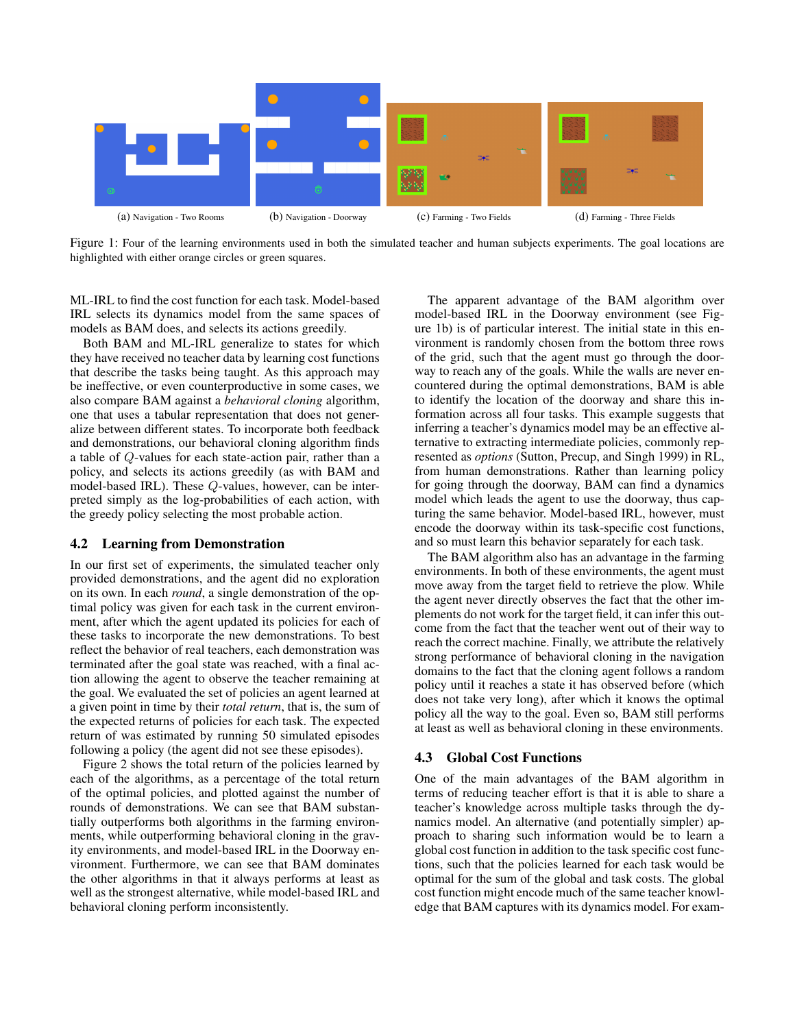

Figure 1: Four of the learning environments used in both the simulated teacher and human subjects experiments. The goal locations are highlighted with either orange circles or green squares.

ML-IRL to find the cost function for each task. Model-based IRL selects its dynamics model from the same spaces of models as BAM does, and selects its actions greedily.

Both BAM and ML-IRL generalize to states for which they have received no teacher data by learning cost functions that describe the tasks being taught. As this approach may be ineffective, or even counterproductive in some cases, we also compare BAM against a *behavioral cloning* algorithm, one that uses a tabular representation that does not generalize between different states. To incorporate both feedback and demonstrations, our behavioral cloning algorithm finds a table of Q-values for each state-action pair, rather than a policy, and selects its actions greedily (as with BAM and model-based IRL). These Q-values, however, can be interpreted simply as the log-probabilities of each action, with the greedy policy selecting the most probable action.

#### 4.2 Learning from Demonstration

In our first set of experiments, the simulated teacher only provided demonstrations, and the agent did no exploration on its own. In each *round*, a single demonstration of the optimal policy was given for each task in the current environment, after which the agent updated its policies for each of these tasks to incorporate the new demonstrations. To best reflect the behavior of real teachers, each demonstration was terminated after the goal state was reached, with a final action allowing the agent to observe the teacher remaining at the goal. We evaluated the set of policies an agent learned at a given point in time by their *total return*, that is, the sum of the expected returns of policies for each task. The expected return of was estimated by running 50 simulated episodes following a policy (the agent did not see these episodes).

Figure 2 shows the total return of the policies learned by each of the algorithms, as a percentage of the total return of the optimal policies, and plotted against the number of rounds of demonstrations. We can see that BAM substantially outperforms both algorithms in the farming environments, while outperforming behavioral cloning in the gravity environments, and model-based IRL in the Doorway environment. Furthermore, we can see that BAM dominates the other algorithms in that it always performs at least as well as the strongest alternative, while model-based IRL and behavioral cloning perform inconsistently.

The apparent advantage of the BAM algorithm over model-based IRL in the Doorway environment (see Figure 1b) is of particular interest. The initial state in this environment is randomly chosen from the bottom three rows of the grid, such that the agent must go through the doorway to reach any of the goals. While the walls are never encountered during the optimal demonstrations, BAM is able to identify the location of the doorway and share this information across all four tasks. This example suggests that inferring a teacher's dynamics model may be an effective alternative to extracting intermediate policies, commonly represented as *options* (Sutton, Precup, and Singh 1999) in RL, from human demonstrations. Rather than learning policy for going through the doorway, BAM can find a dynamics model which leads the agent to use the doorway, thus capturing the same behavior. Model-based IRL, however, must encode the doorway within its task-specific cost functions, and so must learn this behavior separately for each task.

The BAM algorithm also has an advantage in the farming environments. In both of these environments, the agent must move away from the target field to retrieve the plow. While the agent never directly observes the fact that the other implements do not work for the target field, it can infer this outcome from the fact that the teacher went out of their way to reach the correct machine. Finally, we attribute the relatively strong performance of behavioral cloning in the navigation domains to the fact that the cloning agent follows a random policy until it reaches a state it has observed before (which does not take very long), after which it knows the optimal policy all the way to the goal. Even so, BAM still performs at least as well as behavioral cloning in these environments.

## 4.3 Global Cost Functions

One of the main advantages of the BAM algorithm in terms of reducing teacher effort is that it is able to share a teacher's knowledge across multiple tasks through the dynamics model. An alternative (and potentially simpler) approach to sharing such information would be to learn a global cost function in addition to the task specific cost functions, such that the policies learned for each task would be optimal for the sum of the global and task costs. The global cost function might encode much of the same teacher knowledge that BAM captures with its dynamics model. For exam-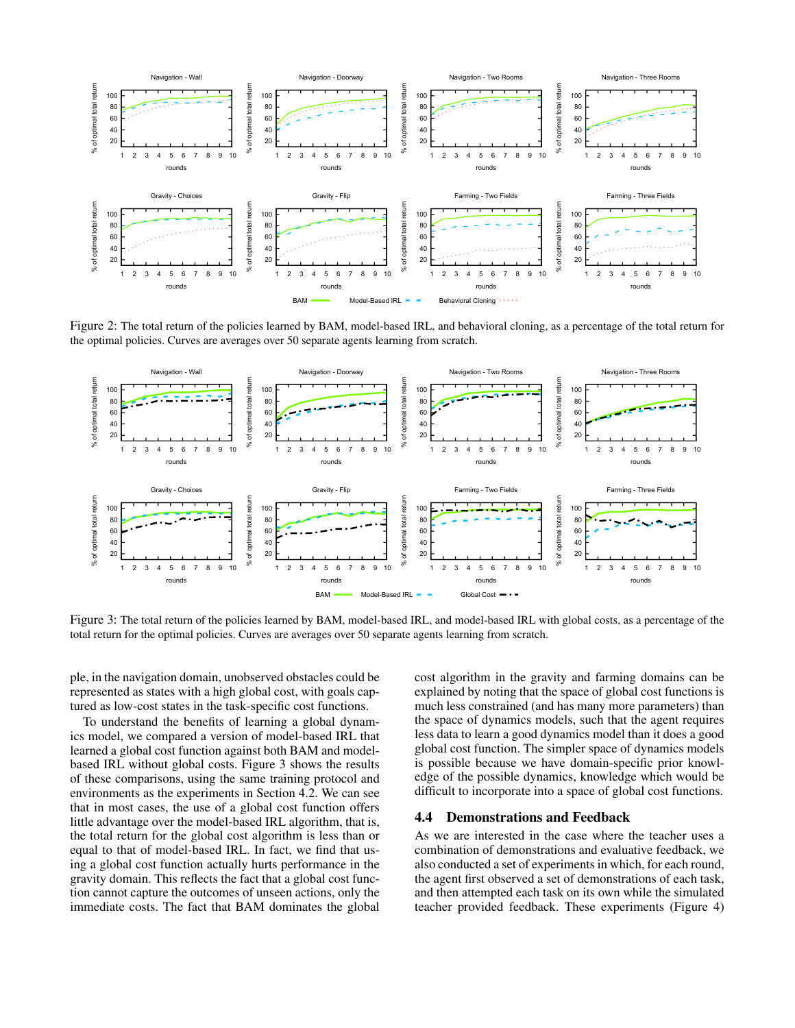

Figure 2: The total return of the policies learned by BAM, model-based IRL, and behavioral cloning, as a percentage of the total return for the optimal policies. Curves are averages over 50 separate agents learning from scratch.



Figure 3: The total return of the policies learned by BAM, model-based IRL, and model-based IRL with global costs, as a percentage of the total return for the optimal policies. Curves are averages over 50 separate agents learning from scratch.

ple, in the navigation domain, unobserved obstacles could be represented as states with a high global cost, with goals captured as low-cost states in the task-specific cost functions.

To understand the benefits of learning a global dynamics model, we compared a version of model-based IRL that learned a global cost function against both BAM and modelbased IRL without global costs. Figure 3 shows the results of these comparisons, using the same training protocol and environments as the experiments in Section 4.2. We can see that in most cases, the use of a global cost function offers little advantage over the model-based IRL algorithm, that is, the total return for the global cost algorithm is less than or equal to that of model-based IRL. In fact, we find that using a global cost function actually hurts performance in the gravity domain. This reflects the fact that a global cost function cannot capture the outcomes of unseen actions, only the immediate costs. The fact that BAM dominates the global

cost algorithm in the gravity and farming domains can be explained by noting that the space of global cost functions is much less constrained (and has many more parameters) than the space of dynamics models, such that the agent requires less data to learn a good dynamics model than it does a good global cost function. The simpler space of dynamics models is possible because we have domain-specific prior knowledge of the possible dynamics, knowledge which would be difficult to incorporate into a space of global cost functions.

#### 4.4 Demonstrations and Feedback

As we are interested in the case where the teacher uses a combination of demonstrations and evaluative feedback, we also conducted a set of experiments in which, for each round, the agent first observed a set of demonstrations of each task, and then attempted each task on its own while the simulated teacher provided feedback. These experiments (Figure 4)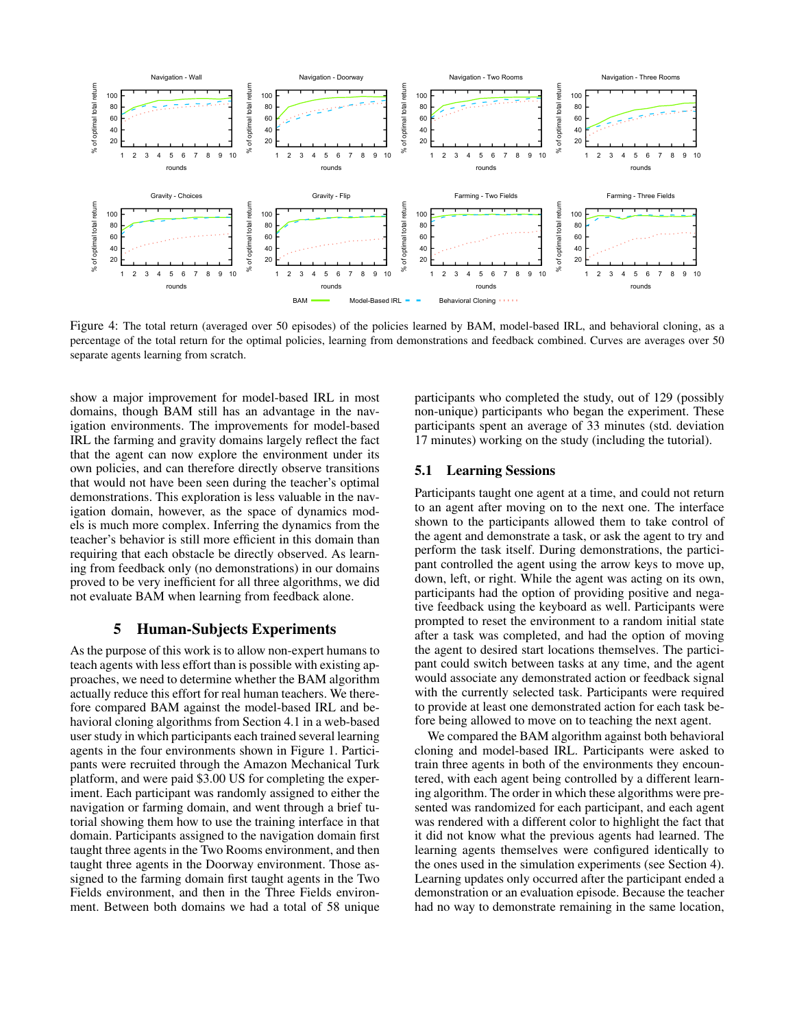

Figure 4: The total return (averaged over 50 episodes) of the policies learned by BAM, model-based IRL, and behavioral cloning, as a percentage of the total return for the optimal policies, learning from demonstrations and feedback combined. Curves are averages over 50 separate agents learning from scratch.

show a major improvement for model-based IRL in most domains, though BAM still has an advantage in the navigation environments. The improvements for model-based IRL the farming and gravity domains largely reflect the fact that the agent can now explore the environment under its own policies, and can therefore directly observe transitions that would not have been seen during the teacher's optimal demonstrations. This exploration is less valuable in the navigation domain, however, as the space of dynamics models is much more complex. Inferring the dynamics from the teacher's behavior is still more efficient in this domain than requiring that each obstacle be directly observed. As learning from feedback only (no demonstrations) in our domains proved to be very inefficient for all three algorithms, we did not evaluate BAM when learning from feedback alone.

### 5 Human-Subjects Experiments

As the purpose of this work is to allow non-expert humans to teach agents with less effort than is possible with existing approaches, we need to determine whether the BAM algorithm actually reduce this effort for real human teachers. We therefore compared BAM against the model-based IRL and behavioral cloning algorithms from Section 4.1 in a web-based user study in which participants each trained several learning agents in the four environments shown in Figure 1. Participants were recruited through the Amazon Mechanical Turk platform, and were paid \$3.00 US for completing the experiment. Each participant was randomly assigned to either the navigation or farming domain, and went through a brief tutorial showing them how to use the training interface in that domain. Participants assigned to the navigation domain first taught three agents in the Two Rooms environment, and then taught three agents in the Doorway environment. Those assigned to the farming domain first taught agents in the Two Fields environment, and then in the Three Fields environment. Between both domains we had a total of 58 unique

participants who completed the study, out of 129 (possibly non-unique) participants who began the experiment. These participants spent an average of 33 minutes (std. deviation 17 minutes) working on the study (including the tutorial).

#### 5.1 Learning Sessions

Participants taught one agent at a time, and could not return to an agent after moving on to the next one. The interface shown to the participants allowed them to take control of the agent and demonstrate a task, or ask the agent to try and perform the task itself. During demonstrations, the participant controlled the agent using the arrow keys to move up, down, left, or right. While the agent was acting on its own, participants had the option of providing positive and negative feedback using the keyboard as well. Participants were prompted to reset the environment to a random initial state after a task was completed, and had the option of moving the agent to desired start locations themselves. The participant could switch between tasks at any time, and the agent would associate any demonstrated action or feedback signal with the currently selected task. Participants were required to provide at least one demonstrated action for each task before being allowed to move on to teaching the next agent.

We compared the BAM algorithm against both behavioral cloning and model-based IRL. Participants were asked to train three agents in both of the environments they encountered, with each agent being controlled by a different learning algorithm. The order in which these algorithms were presented was randomized for each participant, and each agent was rendered with a different color to highlight the fact that it did not know what the previous agents had learned. The learning agents themselves were configured identically to the ones used in the simulation experiments (see Section 4). Learning updates only occurred after the participant ended a demonstration or an evaluation episode. Because the teacher had no way to demonstrate remaining in the same location,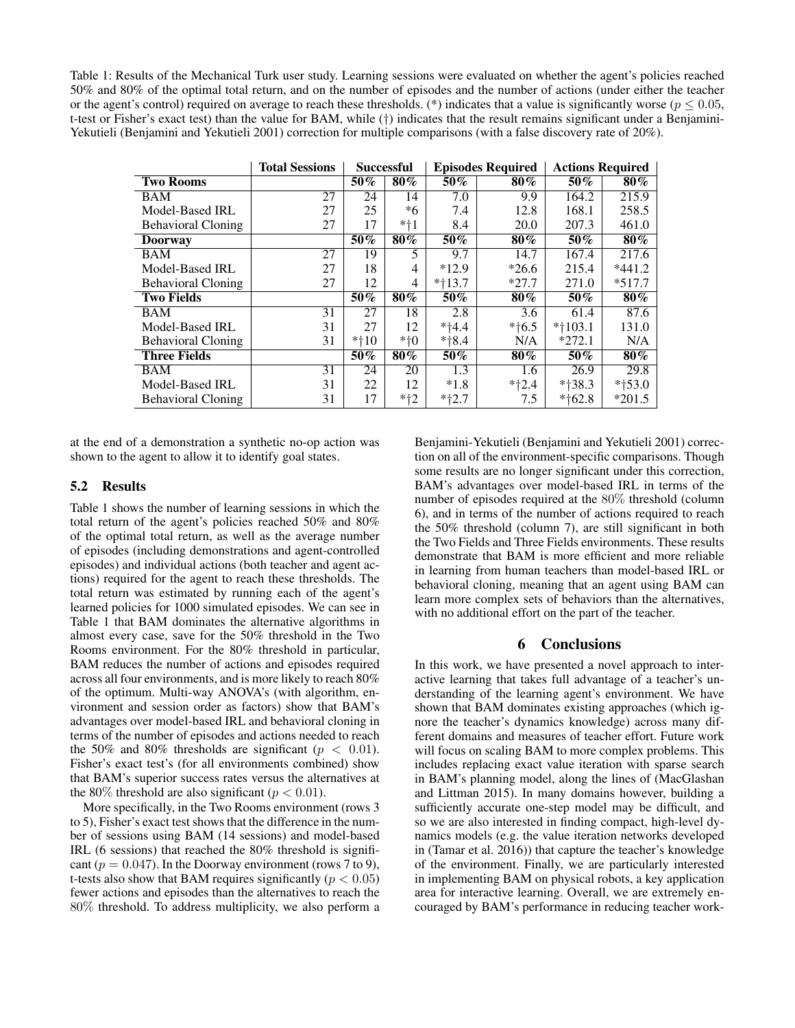Table 1: Results of the Mechanical Turk user study. Learning sessions were evaluated on whether the agent's policies reached 50% and 80% of the optimal total return, and on the number of episodes and the number of actions (under either the teacher or the agent's control) required on average to reach these thresholds. (\*) indicates that a value is significantly worse ( $p \le 0.05$ , t-test or Fisher's exact test) than the value for BAM, while (†) indicates that the result remains significant under a Benjamini-Yekutieli (Benjamini and Yekutieli 2001) correction for multiple comparisons (with a false discovery rate of 20%).

|                           | <b>Total Sessions</b> | <b>Successful</b> |        | <b>Episodes Required</b> |         | <b>Actions Required</b> |          |
|---------------------------|-----------------------|-------------------|--------|--------------------------|---------|-------------------------|----------|
| <b>Two Rooms</b>          |                       | 50%               | $80\%$ | 50%                      | 80%     | $50\%$                  | 80%      |
| BAM                       | 27                    | 24                | 14     | 7.0                      | 9.9     | 164.2                   | 215.9    |
| Model-Based IRL           | 27                    | 25                | *6     | 7.4                      | 12.8    | 168.1                   | 258.5    |
| <b>Behavioral Cloning</b> | 27                    | 17                | $*+1$  | 8.4                      | 20.0    | 207.3                   | 461.0    |
| <b>Doorway</b>            |                       | 50%               | $80\%$ | 50%                      | 80%     | $50\%$                  | $80\%$   |
| <b>BAM</b>                | 27                    | 19                | 5      | 9.7                      | 14.7    | 167.4                   | 217.6    |
| Model-Based IRL           | 27                    | 18                | 4      | $*12.9$                  | $*26.6$ | 215.4                   | $*441.2$ |
| <b>Behavioral Cloning</b> | 27                    | 12                | 4      | $*+13.7$                 | $*27.7$ | 271.0                   | $*517.7$ |
| <b>Two Fields</b>         |                       | 50%               | $80\%$ | 50%                      | 80%     | $50\%$                  | $80\%$   |
| <b>BAM</b>                | 31                    | 27                | 18     | 2.8                      | 3.6     | 61.4                    | 87.6     |
| Model-Based IRL           | 31                    | 27                | 12     | $*14.4$                  | $*+6.5$ | $*103.1$                | 131.0    |
| <b>Behavioral Cloning</b> | 31                    | $*+10$            | $*+0$  | $*18.4$                  | N/A     | $*272.1$                | N/A      |
| <b>Three Fields</b>       |                       | 50%               | 80%    | 50%                      | 80%     | 50%                     | 80%      |
| BAM                       | 31                    | 24                | 20     | 1.3                      | 1.6     | 26.9                    | 29.8     |
| Model-Based IRL           | 31                    | 22                | 12     | $*1.8$                   | $*12.4$ | $*+38.3$                | $*+53.0$ |
| <b>Behavioral Cloning</b> | 31                    | 17                | $*+2$  | $*12.7$                  | 7.5     | $*162.8$                | $*201.5$ |

at the end of a demonstration a synthetic no-op action was shown to the agent to allow it to identify goal states.

#### 5.2 Results

Table 1 shows the number of learning sessions in which the total return of the agent's policies reached 50% and 80% of the optimal total return, as well as the average number of episodes (including demonstrations and agent-controlled episodes) and individual actions (both teacher and agent actions) required for the agent to reach these thresholds. The total return was estimated by running each of the agent's learned policies for 1000 simulated episodes. We can see in Table 1 that BAM dominates the alternative algorithms in almost every case, save for the 50% threshold in the Two Rooms environment. For the 80% threshold in particular, BAM reduces the number of actions and episodes required across all four environments, and is more likely to reach 80% of the optimum. Multi-way ANOVA's (with algorithm, environment and session order as factors) show that BAM's advantages over model-based IRL and behavioral cloning in terms of the number of episodes and actions needed to reach the 50% and 80% thresholds are significant ( $p < 0.01$ ). Fisher's exact test's (for all environments combined) show that BAM's superior success rates versus the alternatives at the 80% threshold are also significant ( $p < 0.01$ ).

More specifically, in the Two Rooms environment (rows 3 to 5), Fisher's exact test shows that the difference in the number of sessions using BAM (14 sessions) and model-based IRL (6 sessions) that reached the 80% threshold is significant ( $p = 0.047$ ). In the Doorway environment (rows 7 to 9), t-tests also show that BAM requires significantly ( $p < 0.05$ ) fewer actions and episodes than the alternatives to reach the 80% threshold. To address multiplicity, we also perform a

Benjamini-Yekutieli (Benjamini and Yekutieli 2001) correction on all of the environment-specific comparisons. Though some results are no longer significant under this correction, BAM's advantages over model-based IRL in terms of the number of episodes required at the 80% threshold (column 6), and in terms of the number of actions required to reach the 50% threshold (column 7), are still significant in both the Two Fields and Three Fields environments. These results demonstrate that BAM is more efficient and more reliable in learning from human teachers than model-based IRL or behavioral cloning, meaning that an agent using BAM can learn more complex sets of behaviors than the alternatives, with no additional effort on the part of the teacher.

#### 6 Conclusions

In this work, we have presented a novel approach to interactive learning that takes full advantage of a teacher's understanding of the learning agent's environment. We have shown that BAM dominates existing approaches (which ignore the teacher's dynamics knowledge) across many different domains and measures of teacher effort. Future work will focus on scaling BAM to more complex problems. This includes replacing exact value iteration with sparse search in BAM's planning model, along the lines of (MacGlashan and Littman 2015). In many domains however, building a sufficiently accurate one-step model may be difficult, and so we are also interested in finding compact, high-level dynamics models (e.g. the value iteration networks developed in (Tamar et al. 2016)) that capture the teacher's knowledge of the environment. Finally, we are particularly interested in implementing BAM on physical robots, a key application area for interactive learning. Overall, we are extremely encouraged by BAM's performance in reducing teacher work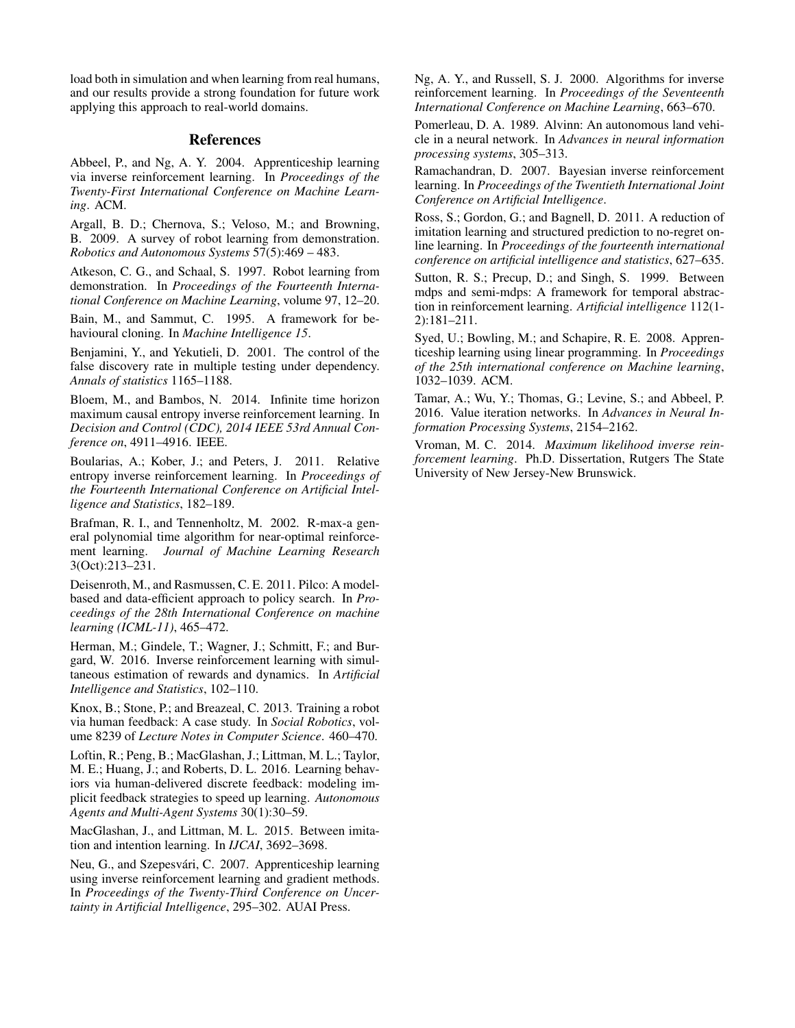load both in simulation and when learning from real humans, and our results provide a strong foundation for future work applying this approach to real-world domains.

### References

Abbeel, P., and Ng, A. Y. 2004. Apprenticeship learning via inverse reinforcement learning. In *Proceedings of the Twenty-First International Conference on Machine Learning*. ACM.

Argall, B. D.; Chernova, S.; Veloso, M.; and Browning, B. 2009. A survey of robot learning from demonstration. *Robotics and Autonomous Systems* 57(5):469 – 483.

Atkeson, C. G., and Schaal, S. 1997. Robot learning from demonstration. In *Proceedings of the Fourteenth International Conference on Machine Learning*, volume 97, 12–20.

Bain, M., and Sammut, C. 1995. A framework for behavioural cloning. In *Machine Intelligence 15*.

Benjamini, Y., and Yekutieli, D. 2001. The control of the false discovery rate in multiple testing under dependency. *Annals of statistics* 1165–1188.

Bloem, M., and Bambos, N. 2014. Infinite time horizon maximum causal entropy inverse reinforcement learning. In *Decision and Control (CDC), 2014 IEEE 53rd Annual Conference on*, 4911–4916. IEEE.

Boularias, A.; Kober, J.; and Peters, J. 2011. Relative entropy inverse reinforcement learning. In *Proceedings of the Fourteenth International Conference on Artificial Intelligence and Statistics*, 182–189.

Brafman, R. I., and Tennenholtz, M. 2002. R-max-a general polynomial time algorithm for near-optimal reinforcement learning. *Journal of Machine Learning Research* 3(Oct):213–231.

Deisenroth, M., and Rasmussen, C. E. 2011. Pilco: A modelbased and data-efficient approach to policy search. In *Proceedings of the 28th International Conference on machine learning (ICML-11)*, 465–472.

Herman, M.; Gindele, T.; Wagner, J.; Schmitt, F.; and Burgard, W. 2016. Inverse reinforcement learning with simultaneous estimation of rewards and dynamics. In *Artificial Intelligence and Statistics*, 102–110.

Knox, B.; Stone, P.; and Breazeal, C. 2013. Training a robot via human feedback: A case study. In *Social Robotics*, volume 8239 of *Lecture Notes in Computer Science*. 460–470.

Loftin, R.; Peng, B.; MacGlashan, J.; Littman, M. L.; Taylor, M. E.; Huang, J.; and Roberts, D. L. 2016. Learning behaviors via human-delivered discrete feedback: modeling implicit feedback strategies to speed up learning. *Autonomous Agents and Multi-Agent Systems* 30(1):30–59.

MacGlashan, J., and Littman, M. L. 2015. Between imitation and intention learning. In *IJCAI*, 3692–3698.

Neu, G., and Szepesvári, C. 2007. Apprenticeship learning using inverse reinforcement learning and gradient methods. In *Proceedings of the Twenty-Third Conference on Uncertainty in Artificial Intelligence*, 295–302. AUAI Press.

Ng, A. Y., and Russell, S. J. 2000. Algorithms for inverse reinforcement learning. In *Proceedings of the Seventeenth International Conference on Machine Learning*, 663–670.

Pomerleau, D. A. 1989. Alvinn: An autonomous land vehicle in a neural network. In *Advances in neural information processing systems*, 305–313.

Ramachandran, D. 2007. Bayesian inverse reinforcement learning. In *Proceedings of the Twentieth International Joint Conference on Artificial Intelligence*.

Ross, S.; Gordon, G.; and Bagnell, D. 2011. A reduction of imitation learning and structured prediction to no-regret online learning. In *Proceedings of the fourteenth international conference on artificial intelligence and statistics*, 627–635.

Sutton, R. S.; Precup, D.; and Singh, S. 1999. Between mdps and semi-mdps: A framework for temporal abstraction in reinforcement learning. *Artificial intelligence* 112(1- 2):181–211.

Syed, U.; Bowling, M.; and Schapire, R. E. 2008. Apprenticeship learning using linear programming. In *Proceedings of the 25th international conference on Machine learning*, 1032–1039. ACM.

Tamar, A.; Wu, Y.; Thomas, G.; Levine, S.; and Abbeel, P. 2016. Value iteration networks. In *Advances in Neural Information Processing Systems*, 2154–2162.

Vroman, M. C. 2014. *Maximum likelihood inverse reinforcement learning*. Ph.D. Dissertation, Rutgers The State University of New Jersey-New Brunswick.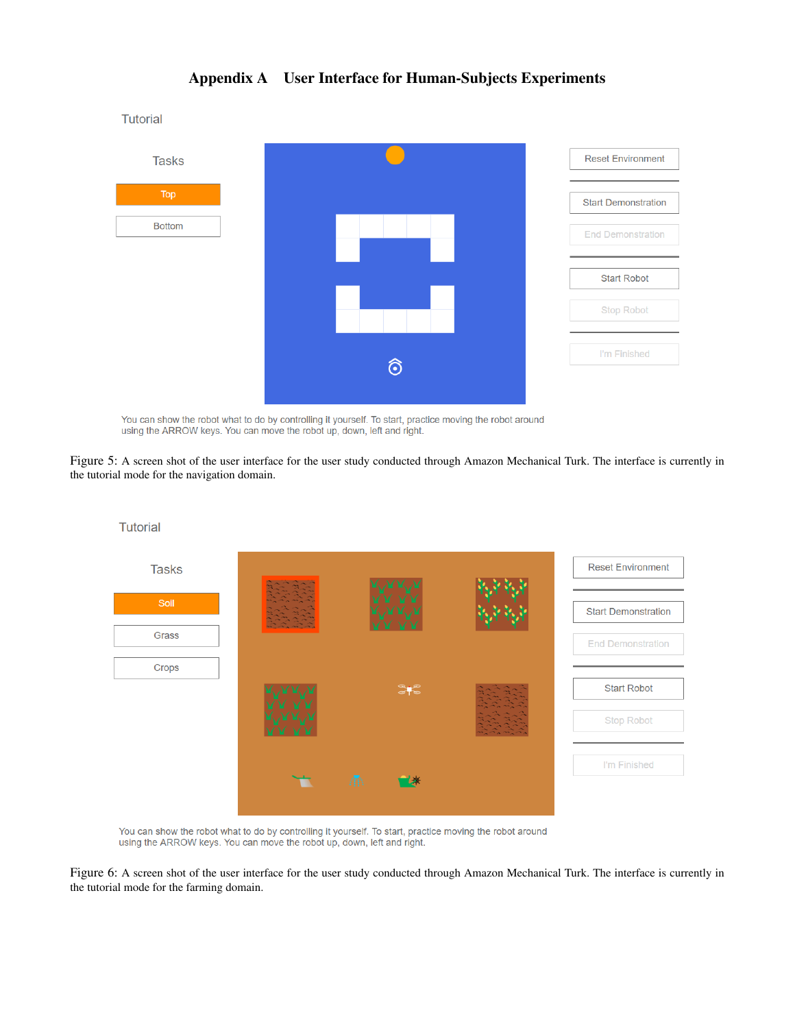

## Appendix A User Interface for Human-Subjects Experiments

You can show the robot what to do by controlling it yourself. To start, practice moving the robot around using the ARROW keys. You can move the robot up, down, left and right.

**Tutorial** 

Figure 5: A screen shot of the user interface for the user study conducted through Amazon Mechanical Turk. The interface is currently in the tutorial mode for the navigation domain.



You can show the robot what to do by controlling it yourself. To start, practice moving the robot around using the ARROW keys. You can move the robot up, down, left and right.

Figure 6: A screen shot of the user interface for the user study conducted through Amazon Mechanical Turk. The interface is currently in the tutorial mode for the farming domain.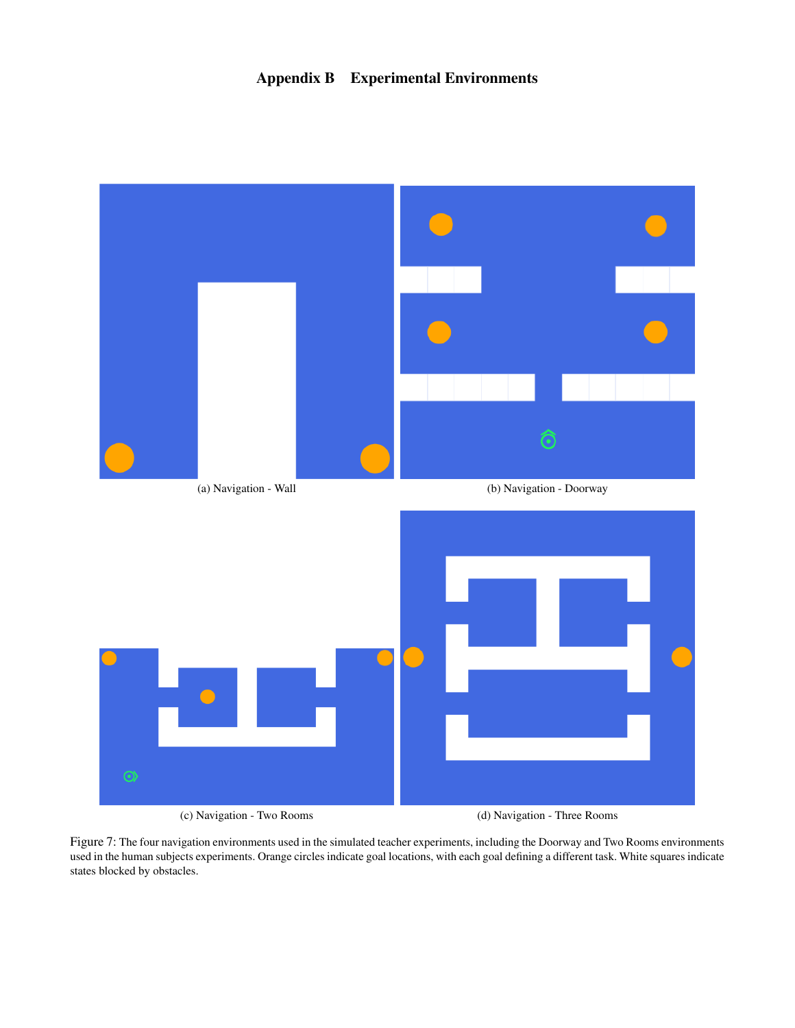

Figure 7: The four navigation environments used in the simulated teacher experiments, including the Doorway and Two Rooms environments used in the human subjects experiments. Orange circles indicate goal locations, with each goal defining a different task. White squares indicate states blocked by obstacles.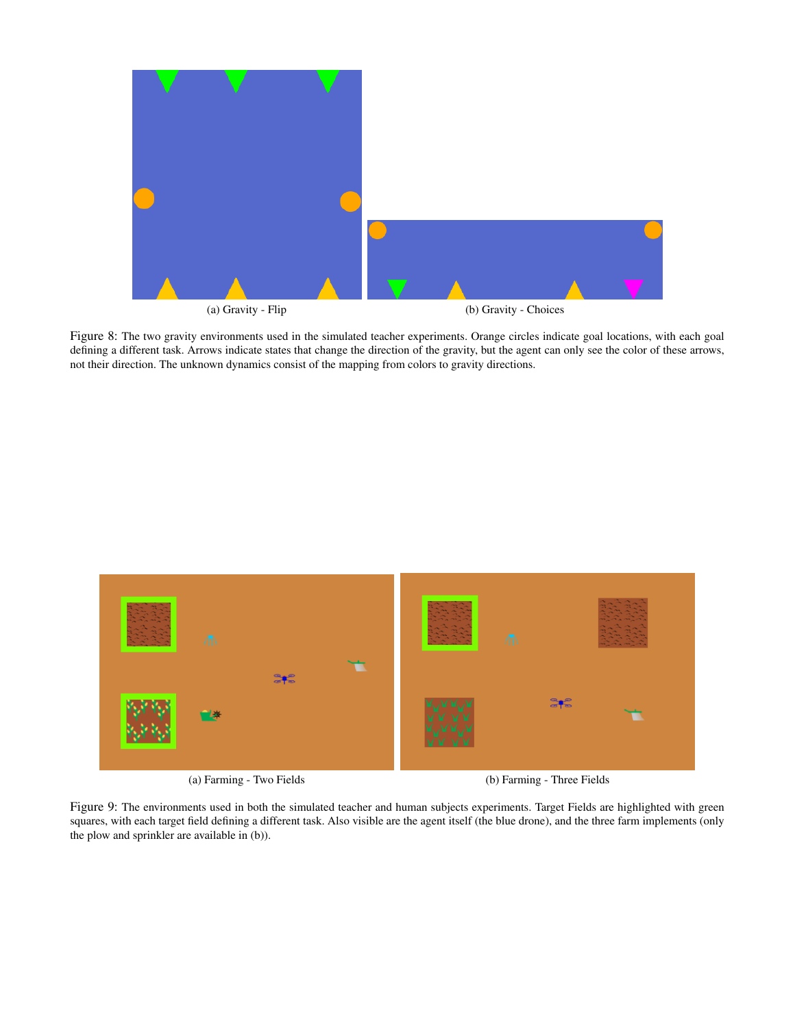

Figure 8: The two gravity environments used in the simulated teacher experiments. Orange circles indicate goal locations, with each goal defining a different task. Arrows indicate states that change the direction of the gravity, but the agent can only see the color of these arrows, not their direction. The unknown dynamics consist of the mapping from colors to gravity directions.



(a) Farming - Two Fields (b) Farming - Three Fields

Figure 9: The environments used in both the simulated teacher and human subjects experiments. Target Fields are highlighted with green squares, with each target field defining a different task. Also visible are the agent itself (the blue drone), and the three farm implements (only the plow and sprinkler are available in (b)).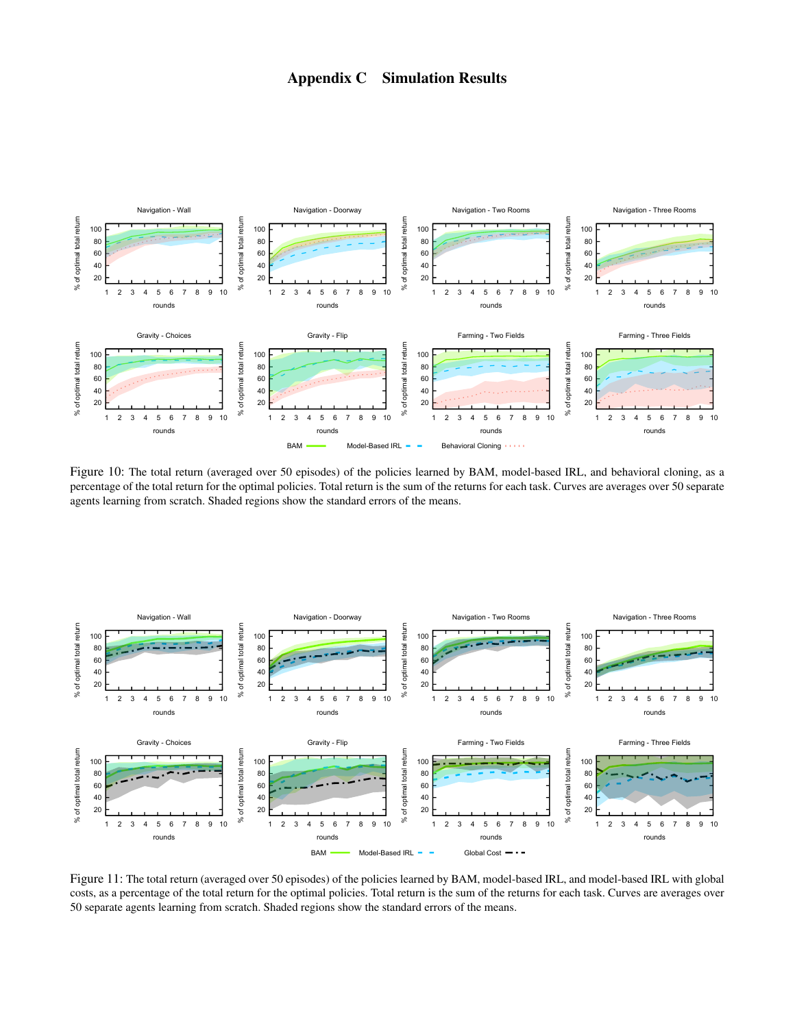## Appendix C Simulation Results



Figure 10: The total return (averaged over 50 episodes) of the policies learned by BAM, model-based IRL, and behavioral cloning, as a percentage of the total return for the optimal policies. Total return is the sum of the returns for each task. Curves are averages over 50 separate agents learning from scratch. Shaded regions show the standard errors of the means.



Figure 11: The total return (averaged over 50 episodes) of the policies learned by BAM, model-based IRL, and model-based IRL with global costs, as a percentage of the total return for the optimal policies. Total return is the sum of the returns for each task. Curves are averages over 50 separate agents learning from scratch. Shaded regions show the standard errors of the means.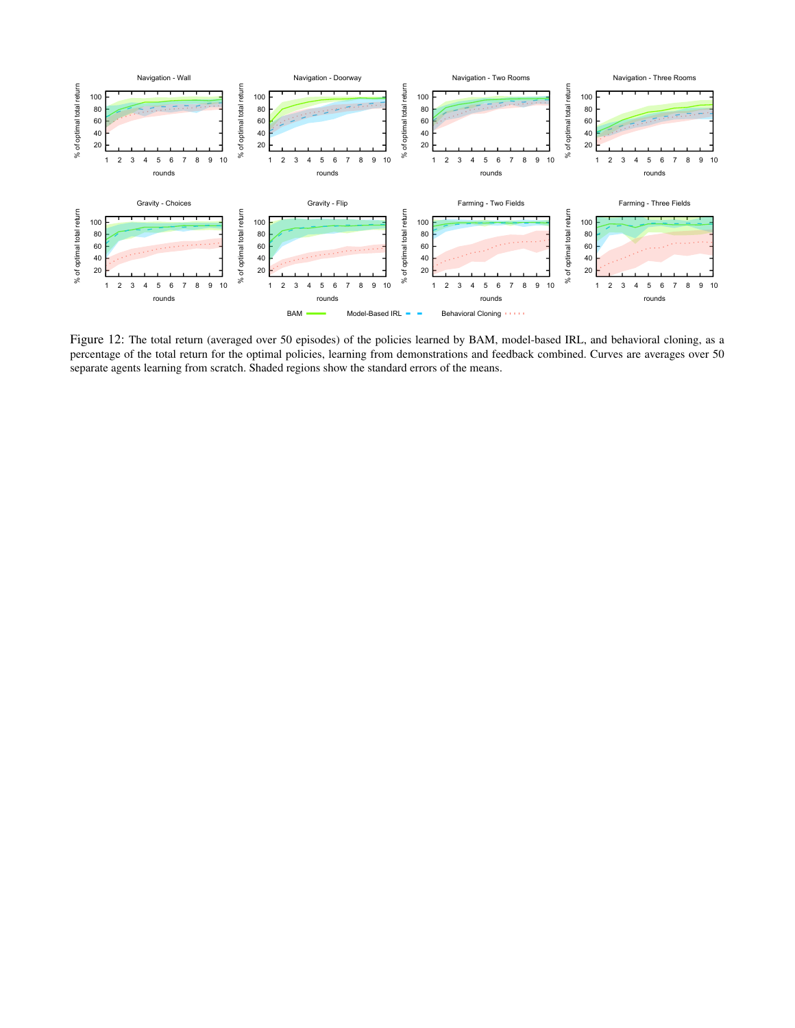

Figure 12: The total return (averaged over 50 episodes) of the policies learned by BAM, model-based IRL, and behavioral cloning, as a percentage of the total return for the optimal policies, learning from demonstrations and feedback combined. Curves are averages over 50 separate agents learning from scratch. Shaded regions show the standard errors of the means.